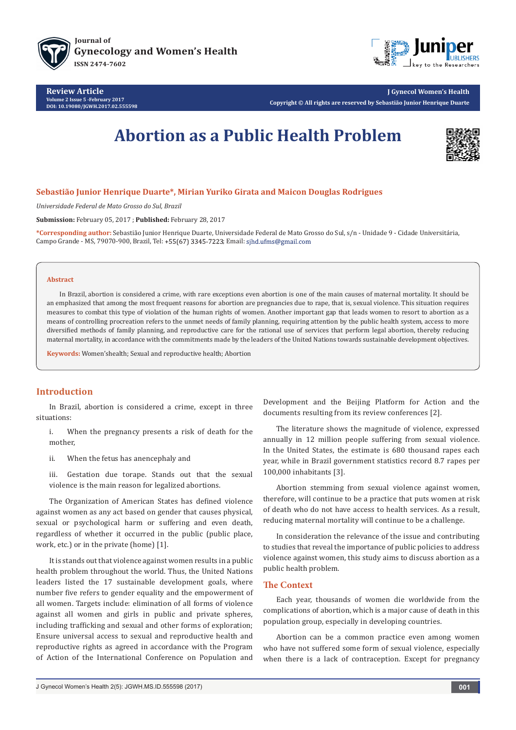





**J Gynecol Women's Health Copyright © All rights are reserved by Sebastião Junior Henrique Duarte**

# **Abortion as a Public Health Problem**



## **Sebastião Junior Henrique Duarte\*, Mirian Yuriko Girata and Maicon Douglas Rodrigues**

*Universidade Federal de Mato Grosso do Sul, Brazil*

**Submission:** February 05, 2017 ; **Published:** February 28, 2017

**\*Corresponding author:** Sebastião Junior Henrique Duarte, Universidade Federal de Mato Grosso do Sul, s/n - Unidade 9 - Cidade Universitária, Campo Grande - MS, 79070-900, Brazil, Tel: +55(67) 3345-7223; Email: sjhd.ufms@gmail.com

#### **Abstract**

In Brazil, abortion is considered a crime, with rare exceptions even abortion is one of the main causes of maternal mortality. It should be an emphasized that among the most frequent reasons for abortion are pregnancies due to rape, that is, sexual violence. This situation requires measures to combat this type of violation of the human rights of women. Another important gap that leads women to resort to abortion as a means of controlling procreation refers to the unmet needs of family planning, requiring attention by the public health system, access to more diversified methods of family planning, and reproductive care for the rational use of services that perform legal abortion, thereby reducing maternal mortality, in accordance with the commitments made by the leaders of the United Nations towards sustainable development objectives.

**Keywords:** Women'shealth; Sexual and reproductive health; Abortion

## **Introduction**

In Brazil, abortion is considered a crime, except in three situations:

- i. When the pregnancy presents a risk of death for the mother,
- ii. When the fetus has anencephaly and
- iii. Gestation due torape. Stands out that the sexual violence is the main reason for legalized abortions.

The Organization of American States has defined violence against women as any act based on gender that causes physical, sexual or psychological harm or suffering and even death, regardless of whether it occurred in the public (public place, work, etc.) or in the private (home) [1].

It is stands out that violence against women results in a public health problem throughout the world. Thus, the United Nations leaders listed the 17 sustainable development goals, where number five refers to gender equality and the empowerment of all women. Targets include: elimination of all forms of violence against all women and girls in public and private spheres, including trafficking and sexual and other forms of exploration; Ensure universal access to sexual and reproductive health and reproductive rights as agreed in accordance with the Program of Action of the International Conference on Population and

Development and the Beijing Platform for Action and the documents resulting from its review conferences [2].

The literature shows the magnitude of violence, expressed annually in 12 million people suffering from sexual violence. In the United States, the estimate is 680 thousand rapes each year, while in Brazil government statistics record 8.7 rapes per 100,000 inhabitants [3].

Abortion stemming from sexual violence against women, therefore, will continue to be a practice that puts women at risk of death who do not have access to health services. As a result, reducing maternal mortality will continue to be a challenge.

In consideration the relevance of the issue and contributing to studies that reveal the importance of public policies to address violence against women, this study aims to discuss abortion as a public health problem.

#### **The Context**

Each year, thousands of women die worldwide from the complications of abortion, which is a major cause of death in this population group, especially in developing countries.

Abortion can be a common practice even among women who have not suffered some form of sexual violence, especially when there is a lack of contraception. Except for pregnancy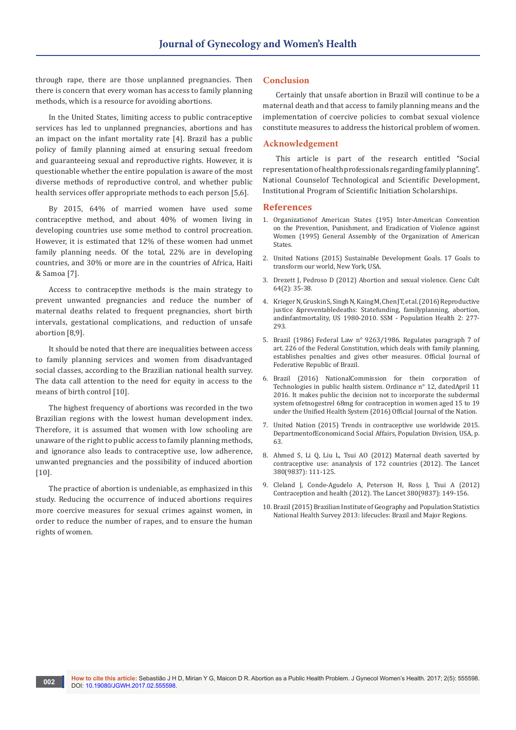through rape, there are those unplanned pregnancies. Then there is concern that every woman has access to family planning methods, which is a resource for avoiding abortions.

In the United States, limiting access to public contraceptive services has led to unplanned pregnancies, abortions and has an impact on the infant mortality rate [4]. Brazil has a public policy of family planning aimed at ensuring sexual freedom and guaranteeing sexual and reproductive rights. However, it is questionable whether the entire population is aware of the most diverse methods of reproductive control, and whether public health services offer appropriate methods to each person [5,6].

By 2015, 64% of married women have used some contraceptive method, and about 40% of women living in developing countries use some method to control procreation. However, it is estimated that 12% of these women had unmet family planning needs. Of the total, 22% are in developing countries, and 30% or more are in the countries of Africa, Haiti & Samoa [7].

Access to contraceptive methods is the main strategy to prevent unwanted pregnancies and reduce the number of maternal deaths related to frequent pregnancies, short birth intervals, gestational complications, and reduction of unsafe abortion [8,9].

It should be noted that there are inequalities between access to family planning services and women from disadvantaged social classes, according to the Brazilian national health survey. The data call attention to the need for equity in access to the means of birth control [10].

The highest frequency of abortions was recorded in the two Brazilian regions with the lowest human development index. Therefore, it is assumed that women with low schooling are unaware of the right to public access to family planning methods, and ignorance also leads to contraceptive use, low adherence, unwanted pregnancies and the possibility of induced abortion [10].

The practice of abortion is undeniable, as emphasized in this study. Reducing the occurrence of induced abortions requires more coercive measures for sexual crimes against women, in order to reduce the number of rapes, and to ensure the human rights of women.

#### **Conclusion**

Certainly that unsafe abortion in Brazil will continue to be a maternal death and that access to family planning means and the implementation of coercive policies to combat sexual violence constitute measures to address the historical problem of women.

### **Acknowledgement**

This article is part of the research entitled "Social representation of health professionals regarding family planning". National Counselof Technological and Scientific Development, Institutional Program of Scientific Initiation Scholarships.

#### **References**

- 1. Organizationof American States (195) Inter-American Convention on the Prevention, Punishment, and Eradication of Violence against Women (1995) General Assembly of the Organization of American States.
- 2. [United Nations \(2015\) Sustainable Development Goals. 17 Goals to](http://www.un.org/sustainabledevelopment/sustainable-development-goals/)  [transform our world, New York, USA.](http://www.un.org/sustainabledevelopment/sustainable-development-goals/)
- 3. Drezett J, Pedroso D (2012) Abortion and sexual violence. Cienc Cult 64(2): 35-38.
- 4. [Krieger N, Gruskin S, Singh N, Kaing M, Chen JT, et al. \(2016\) Reproductive](http://www.sciencedirect.com/science/article/pii/S2352827316300064)  [justice &preventabledeaths: Statefunding, familyplanning, abortion,](http://www.sciencedirect.com/science/article/pii/S2352827316300064)  [andinfantmortality, US 1980-2010. SSM - Population Health 2: 277-](http://www.sciencedirect.com/science/article/pii/S2352827316300064) [293.](http://www.sciencedirect.com/science/article/pii/S2352827316300064)
- 5. Brazil (1986) Federal Law n° 9263/1986. Regulates paragraph 7 of art. 226 of the Federal Constitution, which deals with family planning, establishes penalties and gives other measures. Official Journal of Federative Republic of Brazil.
- 6. Brazil (2016) NationalCommission for thein corporation of Technologies in public health sistem. Ordinance n° 12, datedApril 11 2016. It makes public the decision not to incorporate the subdermal system ofetnogestrel 68mg for contraception in women aged 15 to 19 under the Unified Health System (2016) Official Journal of the Nation.
- 7. [United Nation \(2015\) Trends in contraceptive use worldwide 2015.](http://www.un.org/en/development/desa/population/publications/pdf/family/trendsContraceptiveUse2015Report.pdf)  [DepartmentofEconomicand Social Affairs, Population Division, USA, p.](http://www.un.org/en/development/desa/population/publications/pdf/family/trendsContraceptiveUse2015Report.pdf)  [63.](http://www.un.org/en/development/desa/population/publications/pdf/family/trendsContraceptiveUse2015Report.pdf)
- 8. [Ahmed S, Li Q, Liu L, Tsui AO \(2012\) Maternal death saverted by](http://www.thelancet.com/journals/lancet/article/PIIS0140-6736(12)60478-4/abstract)  [contraceptive use: ananalysis of 172 countries \(2012\). The Lancet](http://www.thelancet.com/journals/lancet/article/PIIS0140-6736(12)60478-4/abstract)  [380\(9837\): 111-125.](http://www.thelancet.com/journals/lancet/article/PIIS0140-6736(12)60478-4/abstract)
- 9. [Cleland J, Conde-Agudelo A, Peterson H, Ross J, Tsui A \(2012\)](http://www.thelancet.com/journals/lancet/article/PIIS0140-6736(12)60609-6/abstract?rss=yes)  [Contraception and health \(2012\). The Lancet 380\(9837\): 149-156.](http://www.thelancet.com/journals/lancet/article/PIIS0140-6736(12)60609-6/abstract?rss=yes)
- 10. Brazil (2015) Brazilian Institute of Geography and Population Statistics National Health Survey 2013: lifecucles: Brazil and Major Regions.